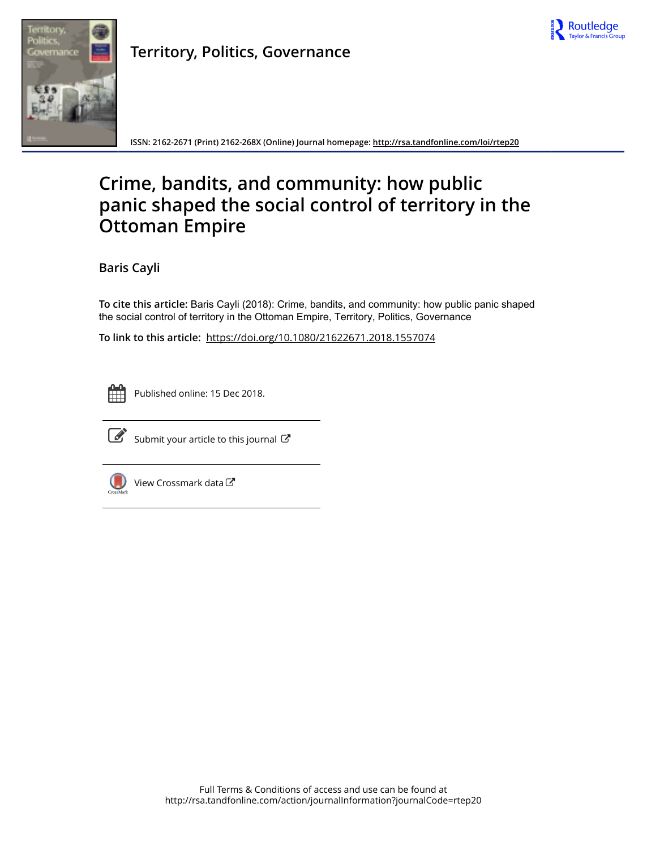



**Territory, Politics, Governance**

**ISSN: 2162-2671 (Print) 2162-268X (Online) Journal homepage: <http://rsa.tandfonline.com/loi/rtep20>**

# **Crime, bandits, and community: how public panic shaped the social control of territory in the Ottoman Empire**

**Baris Cayli**

**To cite this article:** Baris Cayli (2018): Crime, bandits, and community: how public panic shaped the social control of territory in the Ottoman Empire, Territory, Politics, Governance

**To link to this article:** <https://doi.org/10.1080/21622671.2018.1557074>



Published online: 15 Dec 2018.



 $\overline{\mathscr{L}}$  [Submit your article to this journal](http://rsa.tandfonline.com/action/authorSubmission?journalCode=rtep20&show=instructions)  $\mathbb{F}$ 



[View Crossmark data](http://crossmark.crossref.org/dialog/?doi=10.1080/21622671.2018.1557074&domain=pdf&date_stamp=2018-12-15)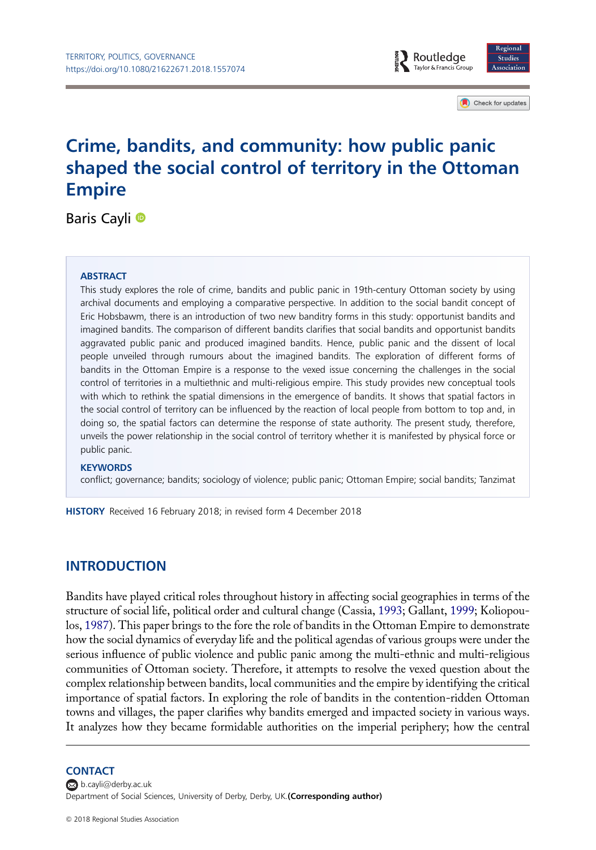

Check for updates

# <span id="page-1-0"></span>Crime, bandits, and community: how public panic shaped the social control of territory in the Ottoman Empire

Baris Cayli<sup>®</sup>

#### **ABSTRACT**

This study explores the role of crime, bandits and public panic in 19th-century Ottoman society by using archival documents and employing a comparative perspective. In addition to the social bandit concept of Eric Hobsbawm, there is an introduction of two new banditry forms in this study: opportunist bandits and imagined bandits. The comparison of different bandits clarifies that social bandits and opportunist bandits aggravated public panic and produced imagined bandits. Hence, public panic and the dissent of local people unveiled through rumours about the imagined bandits. The exploration of different forms of bandits in the Ottoman Empire is a response to the vexed issue concerning the challenges in the social control of territories in a multiethnic and multi-religious empire. This study provides new conceptual tools with which to rethink the spatial dimensions in the emergence of bandits. It shows that spatial factors in the social control of territory can be influenced by the reaction of local people from bottom to top and, in doing so, the spatial factors can determine the response of state authority. The present study, therefore, unveils the power relationship in the social control of territory whether it is manifested by physical force or public panic.

#### **KEYWORDS**

conflict; governance; bandits; sociology of violence; public panic; Ottoman Empire; social bandits; Tanzimat

HISTORY Received 16 February 2018; in revised form 4 December 2018

## INTRODUCTION

Bandits have played critical roles throughout history in affecting social geographies in terms of the structure of social life, political order and cultural change (Cassia, [1993](#page-15-0); Gallant, [1999;](#page-15-0) Koliopoulos, [1987](#page-16-0)). This paper brings to the fore the role of bandits in the Ottoman Empire to demonstrate how the social dynamics of everyday life and the political agendas of various groups were under the serious influence of public violence and public panic among the multi-ethnic and multi-religious communities of Ottoman society. Therefore, it attempts to resolve the vexed question about the complex relationship between bandits, local communities and the empire by identifying the critical importance of spatial factors. In exploring the role of bandits in the contention-ridden Ottoman towns and villages, the paper clarifies why bandits emerged and impacted society in various ways. It analyzes how they became formidable authorities on the imperial periphery; how the central

**CONTACT [b.cayli@derby.ac.uk](mailto:b.cayli@derby.ac.uk)** Department of Social Sciences, University of Derby, Derby, UK.(Corresponding author)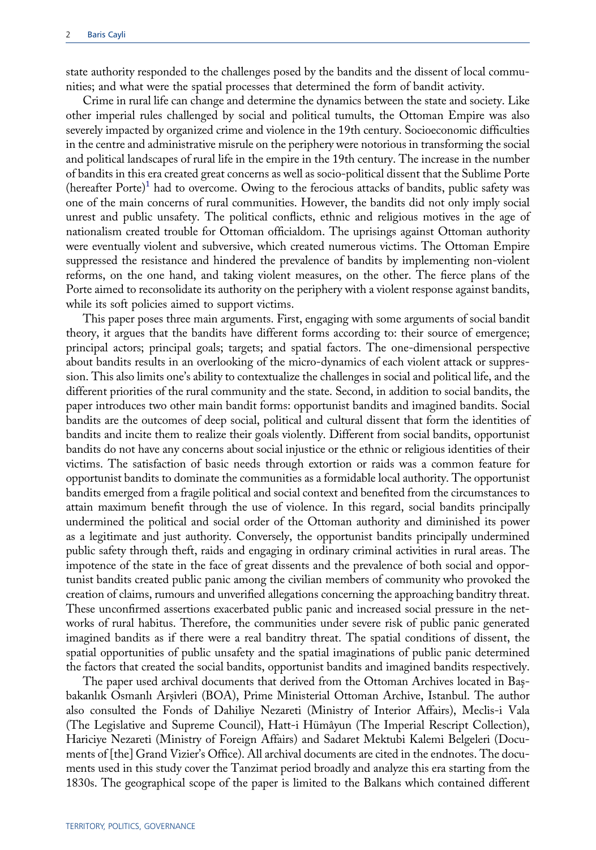state authority responded to the challenges posed by the bandits and the dissent of local communities; and what were the spatial processes that determined the form of bandit activity.

Crime in rural life can change and determine the dynamics between the state and society. Like other imperial rules challenged by social and political tumults, the Ottoman Empire was also severely impacted by organized crime and violence in the 19th century. Socioeconomic difficulties in the centre and administrative misrule on the periphery were notorious in transforming the social and political landscapes of rural life in the empire in the 19th century. The increase in the number of bandits in this era created great concerns as well as socio-political dissent that the Sublime Porte (hereafter Porte)<sup>[1](#page-14-0)</sup> had to overcome. Owing to the ferocious attacks of bandits, public safety was one of the main concerns of rural communities. However, the bandits did not only imply social unrest and public unsafety. The political conflicts, ethnic and religious motives in the age of nationalism created trouble for Ottoman officialdom. The uprisings against Ottoman authority were eventually violent and subversive, which created numerous victims. The Ottoman Empire suppressed the resistance and hindered the prevalence of bandits by implementing non-violent reforms, on the one hand, and taking violent measures, on the other. The fierce plans of the Porte aimed to reconsolidate its authority on the periphery with a violent response against bandits, while its soft policies aimed to support victims.

This paper poses three main arguments. First, engaging with some arguments of social bandit theory, it argues that the bandits have different forms according to: their source of emergence; principal actors; principal goals; targets; and spatial factors. The one-dimensional perspective about bandits results in an overlooking of the micro-dynamics of each violent attack or suppression. This also limits one's ability to contextualize the challenges in social and political life, and the different priorities of the rural community and the state. Second, in addition to social bandits, the paper introduces two other main bandit forms: opportunist bandits and imagined bandits. Social bandits are the outcomes of deep social, political and cultural dissent that form the identities of bandits and incite them to realize their goals violently. Different from social bandits, opportunist bandits do not have any concerns about social injustice or the ethnic or religious identities of their victims. The satisfaction of basic needs through extortion or raids was a common feature for opportunist bandits to dominate the communities as a formidable local authority. The opportunist bandits emerged from a fragile political and social context and benefited from the circumstances to attain maximum benefit through the use of violence. In this regard, social bandits principally undermined the political and social order of the Ottoman authority and diminished its power as a legitimate and just authority. Conversely, the opportunist bandits principally undermined public safety through theft, raids and engaging in ordinary criminal activities in rural areas. The impotence of the state in the face of great dissents and the prevalence of both social and opportunist bandits created public panic among the civilian members of community who provoked the creation of claims, rumours and unverified allegations concerning the approaching banditry threat. These unconfirmed assertions exacerbated public panic and increased social pressure in the networks of rural habitus. Therefore, the communities under severe risk of public panic generated imagined bandits as if there were a real banditry threat. The spatial conditions of dissent, the spatial opportunities of public unsafety and the spatial imaginations of public panic determined the factors that created the social bandits, opportunist bandits and imagined bandits respectively.

The paper used archival documents that derived from the Ottoman Archives located in Başbakanlık Osmanlı Arşivleri (BOA), Prime Ministerial Ottoman Archive, Istanbul. The author also consulted the Fonds of Dahiliye Nezareti (Ministry of Interior Affairs), Meclis-i Vala (The Legislative and Supreme Council), Hatt-i Hümâyun (The Imperial Rescript Collection), Hariciye Nezareti (Ministry of Foreign Affairs) and Sadaret Mektubi Kalemi Belgeleri (Documents of [the] Grand Vizier's Office). All archival documents are cited in the endnotes. The documents used in this study cover the Tanzimat period broadly and analyze this era starting from the 1830s. The geographical scope of the paper is limited to the Balkans which contained different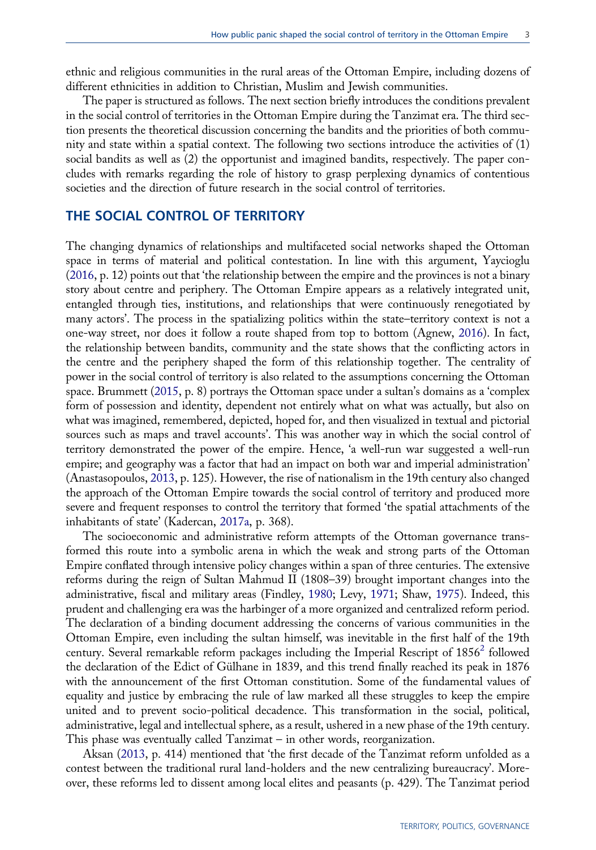<span id="page-3-0"></span>ethnic and religious communities in the rural areas of the Ottoman Empire, including dozens of different ethnicities in addition to Christian, Muslim and Jewish communities.

The paper is structured as follows. The next section briefly introduces the conditions prevalent in the social control of territories in the Ottoman Empire during the Tanzimat era. The third section presents the theoretical discussion concerning the bandits and the priorities of both community and state within a spatial context. The following two sections introduce the activities of (1) social bandits as well as (2) the opportunist and imagined bandits, respectively. The paper concludes with remarks regarding the role of history to grasp perplexing dynamics of contentious societies and the direction of future research in the social control of territories.

## THE SOCIAL CONTROL OF TERRITORY

The changing dynamics of relationships and multifaceted social networks shaped the Ottoman space in terms of material and political contestation. In line with this argument, Yaycioglu ([2016,](#page-16-0) p. 12) points out that 'the relationship between the empire and the provinces is not a binary story about centre and periphery. The Ottoman Empire appears as a relatively integrated unit, entangled through ties, institutions, and relationships that were continuously renegotiated by many actors'. The process in the spatializing politics within the state–territory context is not a one-way street, nor does it follow a route shaped from top to bottom (Agnew, [2016\)](#page-15-0). In fact, the relationship between bandits, community and the state shows that the conflicting actors in the centre and the periphery shaped the form of this relationship together. The centrality of power in the social control of territory is also related to the assumptions concerning the Ottoman space. Brummett ([2015,](#page-15-0) p. 8) portrays the Ottoman space under a sultan's domains as a 'complex form of possession and identity, dependent not entirely what on what was actually, but also on what was imagined, remembered, depicted, hoped for, and then visualized in textual and pictorial sources such as maps and travel accounts'. This was another way in which the social control of territory demonstrated the power of the empire. Hence, 'a well-run war suggested a well-run empire; and geography was a factor that had an impact on both war and imperial administration' (Anastasopoulos, [2013,](#page-15-0) p. 125). However, the rise of nationalism in the 19th century also changed the approach of the Ottoman Empire towards the social control of territory and produced more severe and frequent responses to control the territory that formed 'the spatial attachments of the inhabitants of state' (Kadercan, [2017a](#page-16-0), p. 368).

The socioeconomic and administrative reform attempts of the Ottoman governance transformed this route into a symbolic arena in which the weak and strong parts of the Ottoman Empire conflated through intensive policy changes within a span of three centuries. The extensive reforms during the reign of Sultan Mahmud II (1808–39) brought important changes into the administrative, fiscal and military areas (Findley, [1980](#page-15-0); Levy, [1971;](#page-16-0) Shaw, [1975\)](#page-16-0). Indeed, this prudent and challenging era was the harbinger of a more organized and centralized reform period. The declaration of a binding document addressing the concerns of various communities in the Ottoman Empire, even including the sultan himself, was inevitable in the first half of the 19th century. Several remarkable reform packages including the Imperial Rescript of  $1856<sup>2</sup>$  $1856<sup>2</sup>$  $1856<sup>2</sup>$  followed the declaration of the Edict of Gülhane in 1839, and this trend finally reached its peak in 1876 with the announcement of the first Ottoman constitution. Some of the fundamental values of equality and justice by embracing the rule of law marked all these struggles to keep the empire united and to prevent socio-political decadence. This transformation in the social, political, administrative, legal and intellectual sphere, as a result, ushered in a new phase of the 19th century. This phase was eventually called Tanzimat – in other words, reorganization.

Aksan [\(2013](#page-15-0), p. 414) mentioned that 'the first decade of the Tanzimat reform unfolded as a contest between the traditional rural land-holders and the new centralizing bureaucracy'. Moreover, these reforms led to dissent among local elites and peasants (p. 429). The Tanzimat period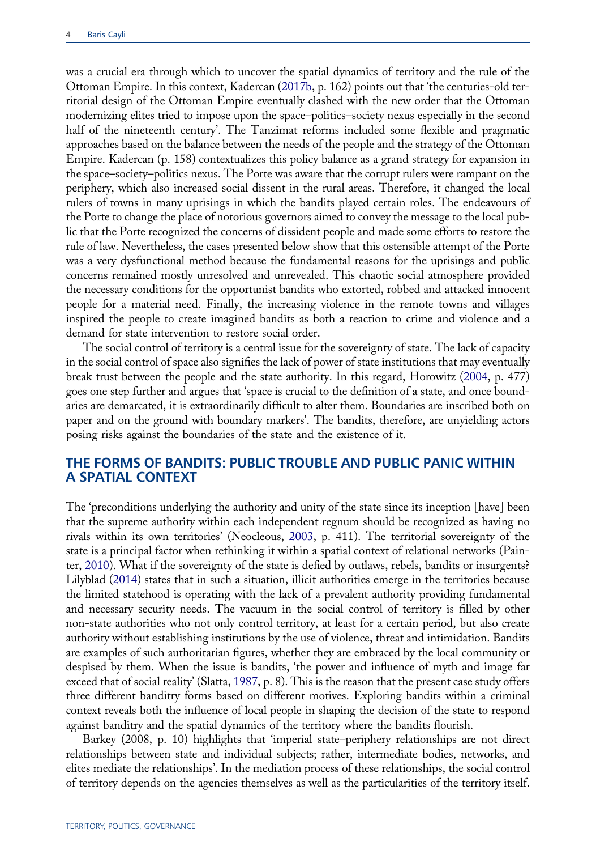<span id="page-4-0"></span>was a crucial era through which to uncover the spatial dynamics of territory and the rule of the Ottoman Empire. In this context, Kadercan [\(2017b](#page-16-0), p. 162) points out that 'the centuries-old territorial design of the Ottoman Empire eventually clashed with the new order that the Ottoman modernizing elites tried to impose upon the space–politics–society nexus especially in the second half of the nineteenth century'. The Tanzimat reforms included some flexible and pragmatic approaches based on the balance between the needs of the people and the strategy of the Ottoman Empire. Kadercan (p. 158) contextualizes this policy balance as a grand strategy for expansion in the space–society–politics nexus. The Porte was aware that the corrupt rulers were rampant on the periphery, which also increased social dissent in the rural areas. Therefore, it changed the local rulers of towns in many uprisings in which the bandits played certain roles. The endeavours of the Porte to change the place of notorious governors aimed to convey the message to the local public that the Porte recognized the concerns of dissident people and made some efforts to restore the rule of law. Nevertheless, the cases presented below show that this ostensible attempt of the Porte was a very dysfunctional method because the fundamental reasons for the uprisings and public concerns remained mostly unresolved and unrevealed. This chaotic social atmosphere provided the necessary conditions for the opportunist bandits who extorted, robbed and attacked innocent people for a material need. Finally, the increasing violence in the remote towns and villages inspired the people to create imagined bandits as both a reaction to crime and violence and a demand for state intervention to restore social order.

The social control of territory is a central issue for the sovereignty of state. The lack of capacity in the social control of space also signifies the lack of power of state institutions that may eventually break trust between the people and the state authority. In this regard, Horowitz ([2004,](#page-16-0) p. 477) goes one step further and argues that 'space is crucial to the definition of a state, and once boundaries are demarcated, it is extraordinarily difficult to alter them. Boundaries are inscribed both on paper and on the ground with boundary markers'. The bandits, therefore, are unyielding actors posing risks against the boundaries of the state and the existence of it.

## THE FORMS OF BANDITS: PUBLIC TROUBLE AND PUBLIC PANIC WITHIN A SPATIAL CONTEXT

The 'preconditions underlying the authority and unity of the state since its inception [have] been that the supreme authority within each independent regnum should be recognized as having no rivals within its own territories' (Neocleous, [2003](#page-16-0), p. 411). The territorial sovereignty of the state is a principal factor when rethinking it within a spatial context of relational networks (Painter, [2010](#page-16-0)). What if the sovereignty of the state is defied by outlaws, rebels, bandits or insurgents? Lilyblad ([2014\)](#page-16-0) states that in such a situation, illicit authorities emerge in the territories because the limited statehood is operating with the lack of a prevalent authority providing fundamental and necessary security needs. The vacuum in the social control of territory is filled by other non-state authorities who not only control territory, at least for a certain period, but also create authority without establishing institutions by the use of violence, threat and intimidation. Bandits are examples of such authoritarian figures, whether they are embraced by the local community or despised by them. When the issue is bandits, 'the power and influence of myth and image far exceed that of social reality' (Slatta, [1987](#page-16-0), p. 8). This is the reason that the present case study offers three different banditry forms based on different motives. Exploring bandits within a criminal context reveals both the influence of local people in shaping the decision of the state to respond against banditry and the spatial dynamics of the territory where the bandits flourish.

Barkey (2008, p. 10) highlights that 'imperial state–periphery relationships are not direct relationships between state and individual subjects; rather, intermediate bodies, networks, and elites mediate the relationships'. In the mediation process of these relationships, the social control of territory depends on the agencies themselves as well as the particularities of the territory itself.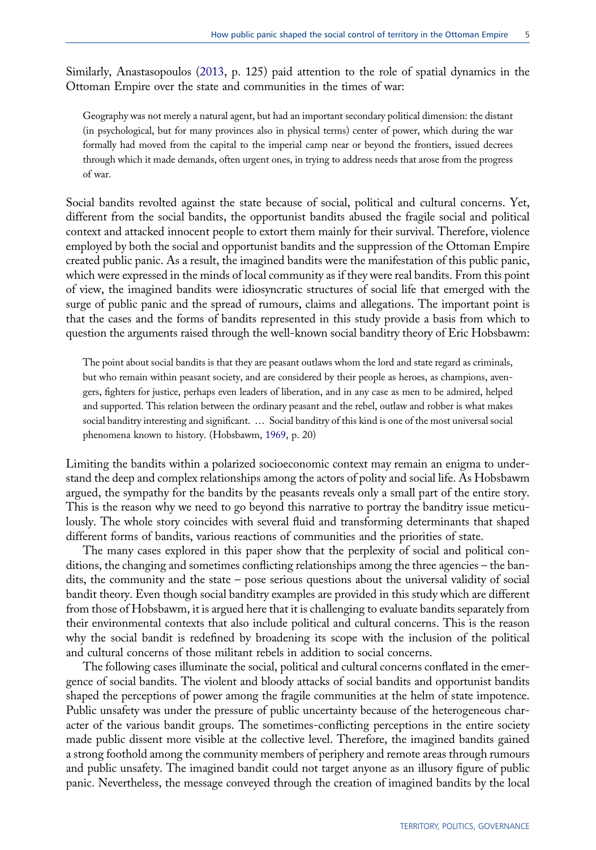<span id="page-5-0"></span>Similarly, Anastasopoulos [\(2013](#page-15-0), p. 125) paid attention to the role of spatial dynamics in the Ottoman Empire over the state and communities in the times of war:

Geography was not merely a natural agent, but had an important secondary political dimension: the distant (in psychological, but for many provinces also in physical terms) center of power, which during the war formally had moved from the capital to the imperial camp near or beyond the frontiers, issued decrees through which it made demands, often urgent ones, in trying to address needs that arose from the progress of war.

Social bandits revolted against the state because of social, political and cultural concerns. Yet, different from the social bandits, the opportunist bandits abused the fragile social and political context and attacked innocent people to extort them mainly for their survival. Therefore, violence employed by both the social and opportunist bandits and the suppression of the Ottoman Empire created public panic. As a result, the imagined bandits were the manifestation of this public panic, which were expressed in the minds of local community as if they were real bandits. From this point of view, the imagined bandits were idiosyncratic structures of social life that emerged with the surge of public panic and the spread of rumours, claims and allegations. The important point is that the cases and the forms of bandits represented in this study provide a basis from which to question the arguments raised through the well-known social banditry theory of Eric Hobsbawm:

The point about social bandits is that they are peasant outlaws whom the lord and state regard as criminals, but who remain within peasant society, and are considered by their people as heroes, as champions, avengers, fighters for justice, perhaps even leaders of liberation, and in any case as men to be admired, helped and supported. This relation between the ordinary peasant and the rebel, outlaw and robber is what makes social banditry interesting and significant. … Social banditry of this kind is one of the most universal social phenomena known to history. (Hobsbawm, [1969,](#page-15-0) p. 20)

Limiting the bandits within a polarized socioeconomic context may remain an enigma to understand the deep and complex relationships among the actors of polity and social life. As Hobsbawm argued, the sympathy for the bandits by the peasants reveals only a small part of the entire story. This is the reason why we need to go beyond this narrative to portray the banditry issue meticulously. The whole story coincides with several fluid and transforming determinants that shaped different forms of bandits, various reactions of communities and the priorities of state.

The many cases explored in this paper show that the perplexity of social and political conditions, the changing and sometimes conflicting relationships among the three agencies – the bandits, the community and the state – pose serious questions about the universal validity of social bandit theory. Even though social banditry examples are provided in this study which are different from those of Hobsbawm, it is argued here that it is challenging to evaluate bandits separately from their environmental contexts that also include political and cultural concerns. This is the reason why the social bandit is redefined by broadening its scope with the inclusion of the political and cultural concerns of those militant rebels in addition to social concerns.

The following cases illuminate the social, political and cultural concerns conflated in the emergence of social bandits. The violent and bloody attacks of social bandits and opportunist bandits shaped the perceptions of power among the fragile communities at the helm of state impotence. Public unsafety was under the pressure of public uncertainty because of the heterogeneous character of the various bandit groups. The sometimes-conflicting perceptions in the entire society made public dissent more visible at the collective level. Therefore, the imagined bandits gained a strong foothold among the community members of periphery and remote areas through rumours and public unsafety. The imagined bandit could not target anyone as an illusory figure of public panic. Nevertheless, the message conveyed through the creation of imagined bandits by the local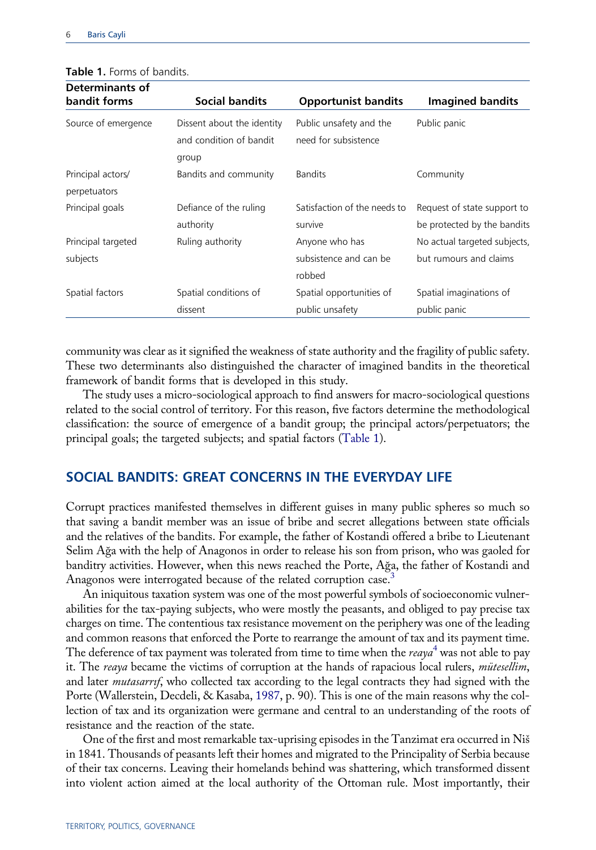| Determinants of<br>bandit forms   | Social bandits                                                 | <b>Opportunist bandits</b>                         | Imagined bandits                                           |
|-----------------------------------|----------------------------------------------------------------|----------------------------------------------------|------------------------------------------------------------|
| Source of emergence               | Dissent about the identity<br>and condition of bandit<br>group | Public unsafety and the<br>need for subsistence    | Public panic                                               |
| Principal actors/<br>perpetuators | Bandits and community                                          | <b>Bandits</b>                                     | Community                                                  |
| Principal goals                   | Defiance of the ruling<br>authority                            | Satisfaction of the needs to<br>survive            | Request of state support to<br>be protected by the bandits |
| Principal targeted<br>subjects    | Ruling authority                                               | Anyone who has<br>subsistence and can be<br>robbed | No actual targeted subjects,<br>but rumours and claims     |
| Spatial factors                   | Spatial conditions of<br>dissent                               | Spatial opportunities of<br>public unsafety        | Spatial imaginations of<br>public panic                    |

#### <span id="page-6-0"></span>Table 1. Forms of bandits.

community was clear as it signified the weakness of state authority and the fragility of public safety. These two determinants also distinguished the character of imagined bandits in the theoretical framework of bandit forms that is developed in this study.

The study uses a micro-sociological approach to find answers for macro-sociological questions related to the social control of territory. For this reason, five factors determine the methodological classification: the source of emergence of a bandit group; the principal actors/perpetuators; the principal goals; the targeted subjects; and spatial factors (Table 1).

#### SOCIAL BANDITS: GREAT CONCERNS IN THE EVERYDAY LIFE

Corrupt practices manifested themselves in different guises in many public spheres so much so that saving a bandit member was an issue of bribe and secret allegations between state officials and the relatives of the bandits. For example, the father of Kostandi offered a bribe to Lieutenant Selim Ağa with the help of Anagonos in order to release his son from prison, who was gaoled for banditry activities. However, when this news reached the Porte, Ağa, the father of Kostandi and Anagonos were interrogated because of the related corruption case.<sup>3</sup>

An iniquitous taxation system was one of the most powerful symbols of socioeconomic vulnerabilities for the tax-paying subjects, who were mostly the peasants, and obliged to pay precise tax charges on time. The contentious tax resistance movement on the periphery was one of the leading and common reasons that enforced the Porte to rearrange the amount of tax and its payment time. The deference of tax payment was tolerated from time to time when the  $\mathit{reaya}^4$  $\mathit{reaya}^4$  was not able to pay it. The reaya became the victims of corruption at the hands of rapacious local rulers, mütesellim, and later mutasarrif, who collected tax according to the legal contracts they had signed with the Porte (Wallerstein, Decdeli, & Kasaba, [1987,](#page-16-0) p. 90). This is one of the main reasons why the collection of tax and its organization were germane and central to an understanding of the roots of resistance and the reaction of the state.

One of the first and most remarkable tax-uprising episodes in the Tanzimat era occurred in Niš in 1841. Thousands of peasants left their homes and migrated to the Principality of Serbia because of their tax concerns. Leaving their homelands behind was shattering, which transformed dissent into violent action aimed at the local authority of the Ottoman rule. Most importantly, their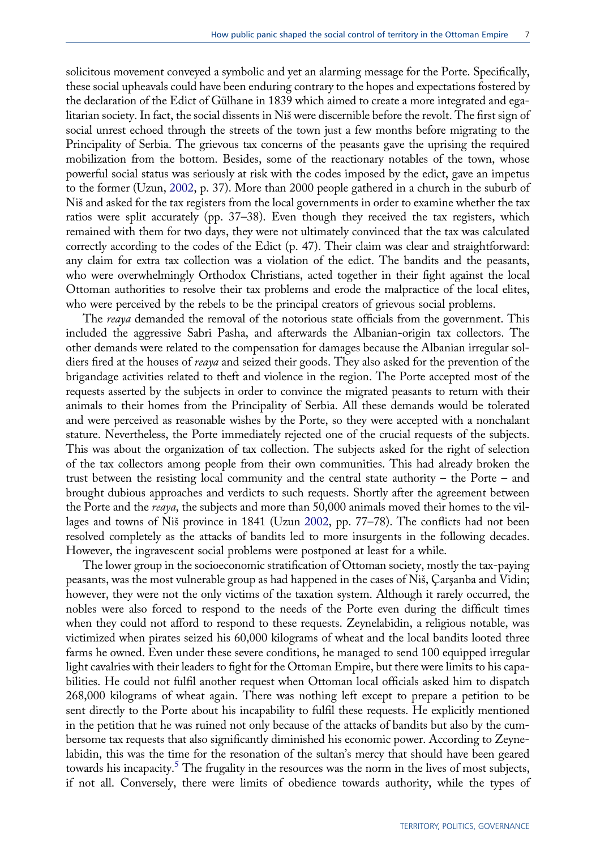<span id="page-7-0"></span>solicitous movement conveyed a symbolic and yet an alarming message for the Porte. Specifically, these social upheavals could have been enduring contrary to the hopes and expectations fostered by the declaration of the Edict of Gülhane in 1839 which aimed to create a more integrated and egalitarian society. In fact, the social dissents in Niš were discernible before the revolt. The first sign of social unrest echoed through the streets of the town just a few months before migrating to the Principality of Serbia. The grievous tax concerns of the peasants gave the uprising the required mobilization from the bottom. Besides, some of the reactionary notables of the town, whose powerful social status was seriously at risk with the codes imposed by the edict, gave an impetus to the former (Uzun, [2002](#page-16-0), p. 37). More than 2000 people gathered in a church in the suburb of Niš and asked for the tax registers from the local governments in order to examine whether the tax ratios were split accurately (pp. 37–38). Even though they received the tax registers, which remained with them for two days, they were not ultimately convinced that the tax was calculated correctly according to the codes of the Edict (p. 47). Their claim was clear and straightforward: any claim for extra tax collection was a violation of the edict. The bandits and the peasants, who were overwhelmingly Orthodox Christians, acted together in their fight against the local Ottoman authorities to resolve their tax problems and erode the malpractice of the local elites, who were perceived by the rebels to be the principal creators of grievous social problems.

The *reaya* demanded the removal of the notorious state officials from the government. This included the aggressive Sabri Pasha, and afterwards the Albanian-origin tax collectors. The other demands were related to the compensation for damages because the Albanian irregular soldiers fired at the houses of *reaya* and seized their goods. They also asked for the prevention of the brigandage activities related to theft and violence in the region. The Porte accepted most of the requests asserted by the subjects in order to convince the migrated peasants to return with their animals to their homes from the Principality of Serbia. All these demands would be tolerated and were perceived as reasonable wishes by the Porte, so they were accepted with a nonchalant stature. Nevertheless, the Porte immediately rejected one of the crucial requests of the subjects. This was about the organization of tax collection. The subjects asked for the right of selection of the tax collectors among people from their own communities. This had already broken the trust between the resisting local community and the central state authority – the Porte – and brought dubious approaches and verdicts to such requests. Shortly after the agreement between the Porte and the *reaya*, the subjects and more than 50,000 animals moved their homes to the villages and towns of Niš province in 1841 (Uzun [2002](#page-16-0), pp. 77–78). The conflicts had not been resolved completely as the attacks of bandits led to more insurgents in the following decades. However, the ingravescent social problems were postponed at least for a while.

The lower group in the socioeconomic stratification of Ottoman society, mostly the tax-paying peasants, was the most vulnerable group as had happened in the cases of Niš, Çarşanba and Vidin; however, they were not the only victims of the taxation system. Although it rarely occurred, the nobles were also forced to respond to the needs of the Porte even during the difficult times when they could not afford to respond to these requests. Zeynelabidin, a religious notable, was victimized when pirates seized his 60,000 kilograms of wheat and the local bandits looted three farms he owned. Even under these severe conditions, he managed to send 100 equipped irregular light cavalries with their leaders to fight for the Ottoman Empire, but there were limits to his capabilities. He could not fulfil another request when Ottoman local officials asked him to dispatch 268,000 kilograms of wheat again. There was nothing left except to prepare a petition to be sent directly to the Porte about his incapability to fulfil these requests. He explicitly mentioned in the petition that he was ruined not only because of the attacks of bandits but also by the cumbersome tax requests that also significantly diminished his economic power. According to Zeynelabidin, this was the time for the resonation of the sultan's mercy that should have been geared towards his incapacity.<sup>[5](#page-14-0)</sup> The frugality in the resources was the norm in the lives of most subjects, if not all. Conversely, there were limits of obedience towards authority, while the types of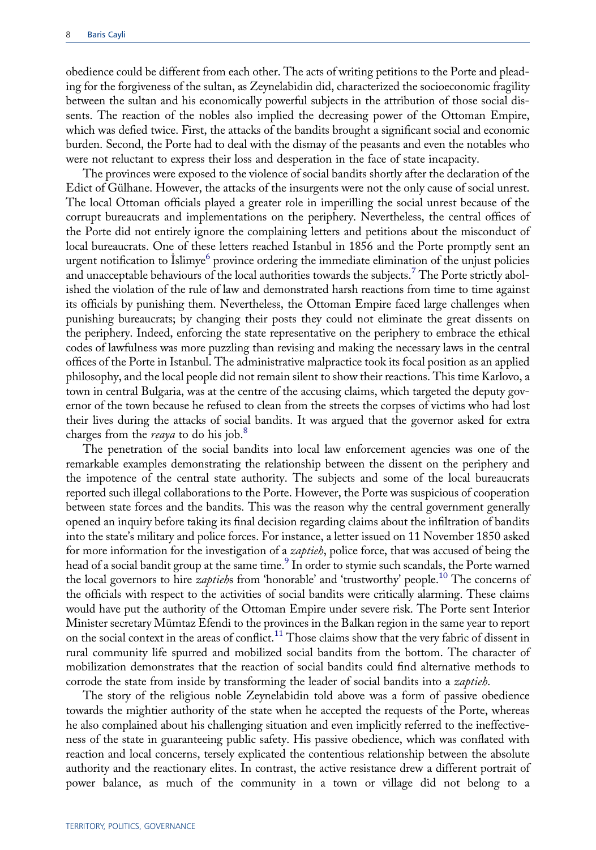obedience could be different from each other. The acts of writing petitions to the Porte and pleading for the forgiveness of the sultan, as Zeynelabidin did, characterized the socioeconomic fragility between the sultan and his economically powerful subjects in the attribution of those social dissents. The reaction of the nobles also implied the decreasing power of the Ottoman Empire, which was defied twice. First, the attacks of the bandits brought a significant social and economic burden. Second, the Porte had to deal with the dismay of the peasants and even the notables who were not reluctant to express their loss and desperation in the face of state incapacity.

The provinces were exposed to the violence of social bandits shortly after the declaration of the Edict of Gülhane. However, the attacks of the insurgents were not the only cause of social unrest. The local Ottoman officials played a greater role in imperilling the social unrest because of the corrupt bureaucrats and implementations on the periphery. Nevertheless, the central offices of the Porte did not entirely ignore the complaining letters and petitions about the misconduct of local bureaucrats. One of these letters reached Istanbul in 1856 and the Porte promptly sent an urgent notification to Islimye<sup>[6](#page-14-0)</sup> province ordering the immediate elimination of the unjust policies and unacceptable behaviours of the local authorities towards the subjects.<sup>[7](#page-14-0)</sup> The Porte strictly abolished the violation of the rule of law and demonstrated harsh reactions from time to time against its officials by punishing them. Nevertheless, the Ottoman Empire faced large challenges when punishing bureaucrats; by changing their posts they could not eliminate the great dissents on the periphery. Indeed, enforcing the state representative on the periphery to embrace the ethical codes of lawfulness was more puzzling than revising and making the necessary laws in the central offices of the Porte in Istanbul. The administrative malpractice took its focal position as an applied philosophy, and the local people did not remain silent to show their reactions. This time Karlovo, a town in central Bulgaria, was at the centre of the accusing claims, which targeted the deputy governor of the town because he refused to clean from the streets the corpses of victims who had lost their lives during the attacks of social bandits. It was argued that the governor asked for extra charges from the *reaya* to do his job.<sup>8</sup>

The penetration of the social bandits into local law enforcement agencies was one of the remarkable examples demonstrating the relationship between the dissent on the periphery and the impotence of the central state authority. The subjects and some of the local bureaucrats reported such illegal collaborations to the Porte. However, the Porte was suspicious of cooperation between state forces and the bandits. This was the reason why the central government generally opened an inquiry before taking its final decision regarding claims about the infiltration of bandits into the state's military and police forces. For instance, a letter issued on 11 November 1850 asked for more information for the investigation of a *zaptieh*, police force, that was accused of being the head of a social bandit group at the same time.<sup>[9](#page-14-0)</sup> In order to stymie such scandals, the Porte warned the local governors to hire *zaptiehs* from 'honorable' and 'trustworthy' people.<sup>10</sup> The concerns of the officials with respect to the activities of social bandits were critically alarming. These claims would have put the authority of the Ottoman Empire under severe risk. The Porte sent Interior Minister secretary Mümtaz Efendi to the provinces in the Balkan region in the same year to report on the social context in the areas of conflict.<sup>[11](#page-14-0)</sup> Those claims show that the very fabric of dissent in rural community life spurred and mobilized social bandits from the bottom. The character of mobilization demonstrates that the reaction of social bandits could find alternative methods to corrode the state from inside by transforming the leader of social bandits into a *zaptieh*.

The story of the religious noble Zeynelabidin told above was a form of passive obedience towards the mightier authority of the state when he accepted the requests of the Porte, whereas he also complained about his challenging situation and even implicitly referred to the ineffectiveness of the state in guaranteeing public safety. His passive obedience, which was conflated with reaction and local concerns, tersely explicated the contentious relationship between the absolute authority and the reactionary elites. In contrast, the active resistance drew a different portrait of power balance, as much of the community in a town or village did not belong to a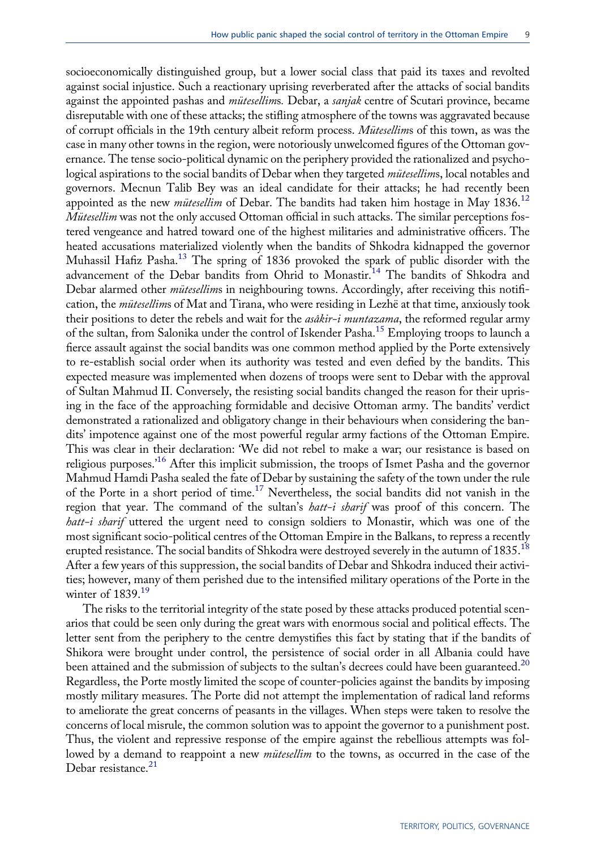socioeconomically distinguished group, but a lower social class that paid its taxes and revolted against social injustice. Such a reactionary uprising reverberated after the attacks of social bandits against the appointed pashas and mütesellims. Debar, a sanjak centre of Scutari province, became disreputable with one of these attacks; the stifling atmosphere of the towns was aggravated because of corrupt officials in the 19th century albeit reform process. Mütesellims of this town, as was the case in many other towns in the region, were notoriously unwelcomed figures of the Ottoman governance. The tense socio-political dynamic on the periphery provided the rationalized and psychological aspirations to the social bandits of Debar when they targeted mütesellims, local notables and governors. Mecnun Talib Bey was an ideal candidate for their attacks; he had recently been appointed as the new *mütesellim* of Debar. The bandits had taken him hostage in May 1836.<sup>[12](#page-14-0)</sup> Mütesellim was not the only accused Ottoman official in such attacks. The similar perceptions fostered vengeance and hatred toward one of the highest militaries and administrative officers. The heated accusations materialized violently when the bandits of Shkodra kidnapped the governor Muhassil Hafiz Pasha.<sup>[13](#page-14-0)</sup> The spring of 1836 provoked the spark of public disorder with the advancement of the Debar bandits from Ohrid to Monastir.<sup>[14](#page-14-0)</sup> The bandits of Shkodra and Debar alarmed other *mütesellim*s in neighbouring towns. Accordingly, after receiving this notification, the mütesellims of Mat and Tirana, who were residing in Lezhë at that time, anxiously took their positions to deter the rebels and wait for the *asâkir-i muntazama*, the reformed regular army of the sultan, from Salonika under the control of Iskender Pasha.[15](#page-14-0) Employing troops to launch a fierce assault against the social bandits was one common method applied by the Porte extensively to re-establish social order when its authority was tested and even defied by the bandits. This expected measure was implemented when dozens of troops were sent to Debar with the approval of Sultan Mahmud II. Conversely, the resisting social bandits changed the reason for their uprising in the face of the approaching formidable and decisive Ottoman army. The bandits' verdict demonstrated a rationalized and obligatory change in their behaviours when considering the bandits' impotence against one of the most powerful regular army factions of the Ottoman Empire. This was clear in their declaration: 'We did not rebel to make a war; our resistance is based on religious purposes.<sup>'[16](#page-14-0)</sup> After this implicit submission, the troops of Ismet Pasha and the governor Mahmud Hamdi Pasha sealed the fate of Debar by sustaining the safety of the town under the rule of the Porte in a short period of time.[17](#page-14-0) Nevertheless, the social bandits did not vanish in the region that year. The command of the sultan's *hatt-i sharif* was proof of this concern. The hatt-i sharif uttered the urgent need to consign soldiers to Monastir, which was one of the most significant socio-political centres of the Ottoman Empire in the Balkans, to repress a recently erupted resistance. The social bandits of Shkodra were destroyed severely in the autumn of 1835.<sup>18</sup> After a few years of this suppression, the social bandits of Debar and Shkodra induced their activities; however, many of them perished due to the intensified military operations of the Porte in the winter of 1839.<sup>19</sup>

The risks to the territorial integrity of the state posed by these attacks produced potential scenarios that could be seen only during the great wars with enormous social and political effects. The letter sent from the periphery to the centre demystifies this fact by stating that if the bandits of Shikora were brought under control, the persistence of social order in all Albania could have been attained and the submission of subjects to the sultan's decrees could have been guaranteed.<sup>20</sup> Regardless, the Porte mostly limited the scope of counter-policies against the bandits by imposing mostly military measures. The Porte did not attempt the implementation of radical land reforms to ameliorate the great concerns of peasants in the villages. When steps were taken to resolve the concerns of local misrule, the common solution was to appoint the governor to a punishment post. Thus, the violent and repressive response of the empire against the rebellious attempts was followed by a demand to reappoint a new *mütesellim* to the towns, as occurred in the case of the Debar resistance.<sup>[21](#page-14-0)</sup>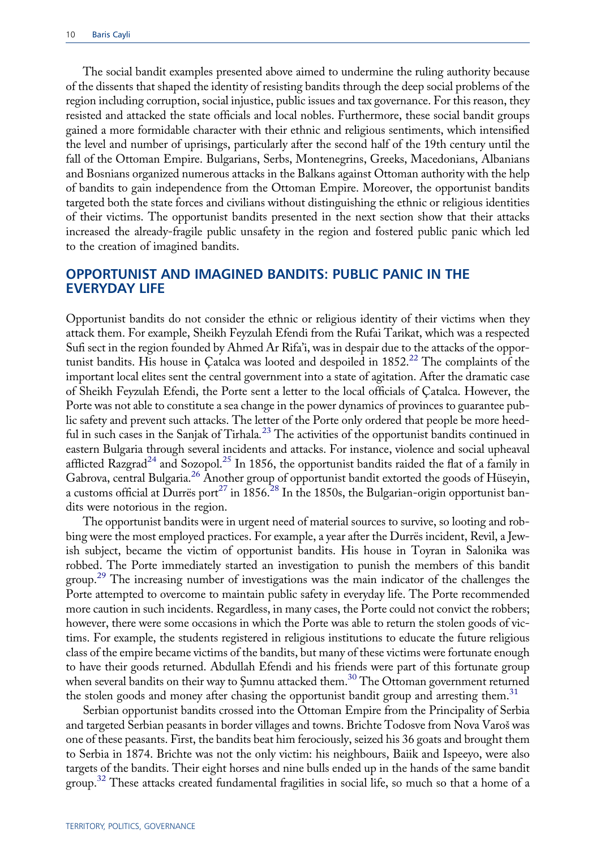The social bandit examples presented above aimed to undermine the ruling authority because of the dissents that shaped the identity of resisting bandits through the deep social problems of the region including corruption, social injustice, public issues and tax governance. For this reason, they resisted and attacked the state officials and local nobles. Furthermore, these social bandit groups gained a more formidable character with their ethnic and religious sentiments, which intensified the level and number of uprisings, particularly after the second half of the 19th century until the fall of the Ottoman Empire. Bulgarians, Serbs, Montenegrins, Greeks, Macedonians, Albanians and Bosnians organized numerous attacks in the Balkans against Ottoman authority with the help of bandits to gain independence from the Ottoman Empire. Moreover, the opportunist bandits targeted both the state forces and civilians without distinguishing the ethnic or religious identities of their victims. The opportunist bandits presented in the next section show that their attacks increased the already-fragile public unsafety in the region and fostered public panic which led to the creation of imagined bandits.

#### OPPORTUNIST AND IMAGINED BANDITS: PUBLIC PANIC IN THE EVERYDAY LIFE

Opportunist bandits do not consider the ethnic or religious identity of their victims when they attack them. For example, Sheikh Feyzulah Efendi from the Rufai Tarikat, which was a respected Sufi sect in the region founded by Ahmed Ar Rifa'i, was in despair due to the attacks of the oppor-tunist bandits. His house in Çatalca was looted and despoiled in 1852.<sup>[22](#page-14-0)</sup> The complaints of the important local elites sent the central government into a state of agitation. After the dramatic case of Sheikh Feyzulah Efendi, the Porte sent a letter to the local officials of Çatalca. However, the Porte was not able to constitute a sea change in the power dynamics of provinces to guarantee public safety and prevent such attacks. The letter of the Porte only ordered that people be more heed-ful in such cases in the Sanjak of Tirhala.<sup>[23](#page-14-0)</sup> The activities of the opportunist bandits continued in eastern Bulgaria through several incidents and attacks. For instance, violence and social upheaval afflicted Razgrad<sup>[24](#page-15-0)</sup> and Sozopol.<sup>[25](#page-15-0)</sup> In 1856, the opportunist bandits raided the flat of a family in Gabrova, central Bulgaria.<sup>[26](#page-15-0)</sup> Another group of opportunist bandit extorted the goods of Hüseyin, a customs official at Durrës port<sup>[27](#page-15-0)</sup> in 1856.<sup>[28](#page-15-0)</sup> In the 1850s, the Bulgarian-origin opportunist bandits were notorious in the region.

The opportunist bandits were in urgent need of material sources to survive, so looting and robbing were the most employed practices. For example, a year after the Durrës incident, Revil, a Jewish subject, became the victim of opportunist bandits. His house in Toyran in Salonika was robbed. The Porte immediately started an investigation to punish the members of this bandit group[.29](#page-15-0) The increasing number of investigations was the main indicator of the challenges the Porte attempted to overcome to maintain public safety in everyday life. The Porte recommended more caution in such incidents. Regardless, in many cases, the Porte could not convict the robbers; however, there were some occasions in which the Porte was able to return the stolen goods of victims. For example, the students registered in religious institutions to educate the future religious class of the empire became victims of the bandits, but many of these victims were fortunate enough to have their goods returned. Abdullah Efendi and his friends were part of this fortunate group when several bandits on their way to Şumnu attacked them. $30$  The Ottoman government returned the stolen goods and money after chasing the opportunist bandit group and arresting them.<sup>[31](#page-15-0)</sup>

Serbian opportunist bandits crossed into the Ottoman Empire from the Principality of Serbia and targeted Serbian peasants in border villages and towns. Brichte Todosve from Nova Varoš was one of these peasants. First, the bandits beat him ferociously, seized his 36 goats and brought them to Serbia in 1874. Brichte was not the only victim: his neighbours, Baiik and Ispeeyo, were also targets of the bandits. Their eight horses and nine bulls ended up in the hands of the same bandit group[.32](#page-15-0) These attacks created fundamental fragilities in social life, so much so that a home of a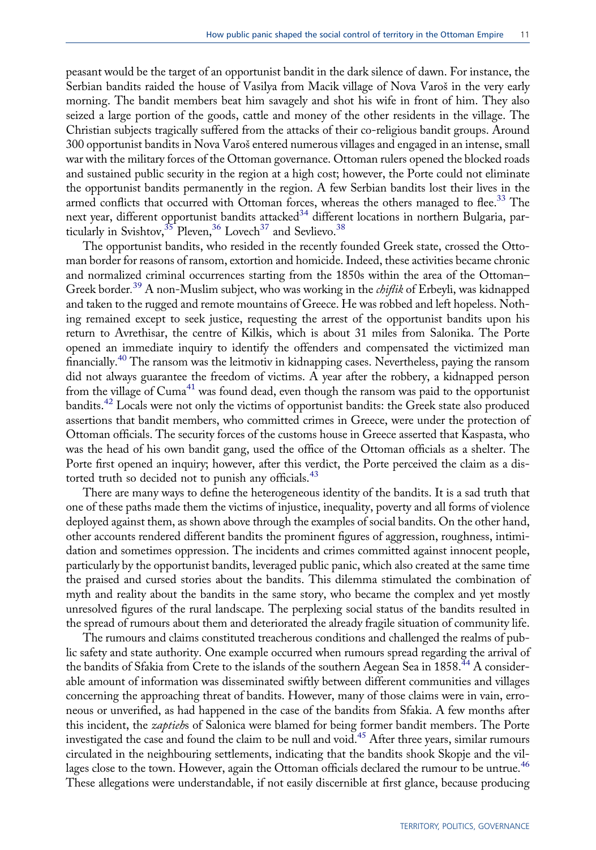peasant would be the target of an opportunist bandit in the dark silence of dawn. For instance, the Serbian bandits raided the house of Vasilya from Macik village of Nova Varoš in the very early morning. The bandit members beat him savagely and shot his wife in front of him. They also seized a large portion of the goods, cattle and money of the other residents in the village. The Christian subjects tragically suffered from the attacks of their co-religious bandit groups. Around 300 opportunist bandits in Nova Varoš entered numerous villages and engaged in an intense, small war with the military forces of the Ottoman governance. Ottoman rulers opened the blocked roads and sustained public security in the region at a high cost; however, the Porte could not eliminate the opportunist bandits permanently in the region. A few Serbian bandits lost their lives in the armed conflicts that occurred with Ottoman forces, whereas the others managed to flee.<sup>33</sup> The next year, different opportunist bandits attacked<sup>[34](#page-15-0)</sup> different locations in northern Bulgaria, par-ticularly in Svishtov, <sup>[35](#page-15-0)</sup> Pleven, <sup>[36](#page-15-0)</sup> Lovech<sup>[37](#page-15-0)</sup> and Sevlievo.<sup>[38](#page-15-0)</sup>

The opportunist bandits, who resided in the recently founded Greek state, crossed the Ottoman border for reasons of ransom, extortion and homicide. Indeed, these activities became chronic and normalized criminal occurrences starting from the 1850s within the area of the Ottoman– Greek border.<sup>[39](#page-15-0)</sup> A non-Muslim subject, who was working in the *chiflik* of Erbeyli, was kidnapped and taken to the rugged and remote mountains of Greece. He was robbed and left hopeless. Nothing remained except to seek justice, requesting the arrest of the opportunist bandits upon his return to Avrethisar, the centre of Kilkis, which is about 31 miles from Salonika. The Porte opened an immediate inquiry to identify the offenders and compensated the victimized man financially.[40](#page-15-0) The ransom was the leitmotiv in kidnapping cases. Nevertheless, paying the ransom did not always guarantee the freedom of victims. A year after the robbery, a kidnapped person from the village of Cuma<sup>[41](#page-15-0)</sup> was found dead, even though the ransom was paid to the opportunist bandits[.42](#page-15-0) Locals were not only the victims of opportunist bandits: the Greek state also produced assertions that bandit members, who committed crimes in Greece, were under the protection of Ottoman officials. The security forces of the customs house in Greece asserted that Kaspasta, who was the head of his own bandit gang, used the office of the Ottoman officials as a shelter. The Porte first opened an inquiry; however, after this verdict, the Porte perceived the claim as a dis-torted truth so decided not to punish any officials.<sup>[43](#page-15-0)</sup>

There are many ways to define the heterogeneous identity of the bandits. It is a sad truth that one of these paths made them the victims of injustice, inequality, poverty and all forms of violence deployed against them, as shown above through the examples of social bandits. On the other hand, other accounts rendered different bandits the prominent figures of aggression, roughness, intimidation and sometimes oppression. The incidents and crimes committed against innocent people, particularly by the opportunist bandits, leveraged public panic, which also created at the same time the praised and cursed stories about the bandits. This dilemma stimulated the combination of myth and reality about the bandits in the same story, who became the complex and yet mostly unresolved figures of the rural landscape. The perplexing social status of the bandits resulted in the spread of rumours about them and deteriorated the already fragile situation of community life.

The rumours and claims constituted treacherous conditions and challenged the realms of public safety and state authority. One example occurred when rumours spread regarding the arrival of the bandits of Sfakia from Crete to the islands of the southern Aegean Sea in 1858.<sup>[44](#page-15-0)</sup> A considerable amount of information was disseminated swiftly between different communities and villages concerning the approaching threat of bandits. However, many of those claims were in vain, erroneous or unverified, as had happened in the case of the bandits from Sfakia. A few months after this incident, the zaptiehs of Salonica were blamed for being former bandit members. The Porte investigated the case and found the claim to be null and void.[45](#page-15-0) After three years, similar rumours circulated in the neighbouring settlements, indicating that the bandits shook Skopje and the vil-lages close to the town. However, again the Ottoman officials declared the rumour to be untrue.<sup>[46](#page-15-0)</sup> These allegations were understandable, if not easily discernible at first glance, because producing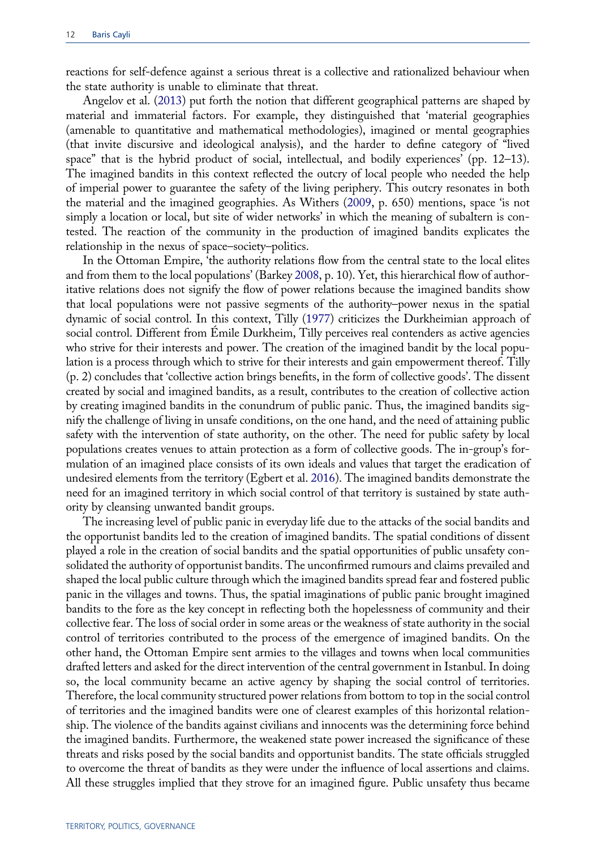<span id="page-12-0"></span>reactions for self-defence against a serious threat is a collective and rationalized behaviour when the state authority is unable to eliminate that threat.

Angelov et al. ([2013\)](#page-15-0) put forth the notion that different geographical patterns are shaped by material and immaterial factors. For example, they distinguished that 'material geographies (amenable to quantitative and mathematical methodologies), imagined or mental geographies (that invite discursive and ideological analysis), and the harder to define category of "lived space" that is the hybrid product of social, intellectual, and bodily experiences' (pp. 12–13). The imagined bandits in this context reflected the outcry of local people who needed the help of imperial power to guarantee the safety of the living periphery. This outcry resonates in both the material and the imagined geographies. As Withers [\(2009](#page-16-0), p. 650) mentions, space 'is not simply a location or local, but site of wider networks' in which the meaning of subaltern is contested. The reaction of the community in the production of imagined bandits explicates the relationship in the nexus of space–society–politics.

In the Ottoman Empire, 'the authority relations flow from the central state to the local elites and from them to the local populations' (Barkey [2008](#page-15-0), p. 10). Yet, this hierarchical flow of authoritative relations does not signify the flow of power relations because the imagined bandits show that local populations were not passive segments of the authority–power nexus in the spatial dynamic of social control. In this context, Tilly [\(1977](#page-16-0)) criticizes the Durkheimian approach of social control. Different from Émile Durkheim, Tilly perceives real contenders as active agencies who strive for their interests and power. The creation of the imagined bandit by the local population is a process through which to strive for their interests and gain empowerment thereof. Tilly (p. 2) concludes that 'collective action brings benefits, in the form of collective goods'. The dissent created by social and imagined bandits, as a result, contributes to the creation of collective action by creating imagined bandits in the conundrum of public panic. Thus, the imagined bandits signify the challenge of living in unsafe conditions, on the one hand, and the need of attaining public safety with the intervention of state authority, on the other. The need for public safety by local populations creates venues to attain protection as a form of collective goods. The in-group's formulation of an imagined place consists of its own ideals and values that target the eradication of undesired elements from the territory (Egbert et al. [2016](#page-15-0)). The imagined bandits demonstrate the need for an imagined territory in which social control of that territory is sustained by state authority by cleansing unwanted bandit groups.

The increasing level of public panic in everyday life due to the attacks of the social bandits and the opportunist bandits led to the creation of imagined bandits. The spatial conditions of dissent played a role in the creation of social bandits and the spatial opportunities of public unsafety consolidated the authority of opportunist bandits. The unconfirmed rumours and claims prevailed and shaped the local public culture through which the imagined bandits spread fear and fostered public panic in the villages and towns. Thus, the spatial imaginations of public panic brought imagined bandits to the fore as the key concept in reflecting both the hopelessness of community and their collective fear. The loss of social order in some areas or the weakness of state authority in the social control of territories contributed to the process of the emergence of imagined bandits. On the other hand, the Ottoman Empire sent armies to the villages and towns when local communities drafted letters and asked for the direct intervention of the central government in Istanbul. In doing so, the local community became an active agency by shaping the social control of territories. Therefore, the local community structured power relations from bottom to top in the social control of territories and the imagined bandits were one of clearest examples of this horizontal relationship. The violence of the bandits against civilians and innocents was the determining force behind the imagined bandits. Furthermore, the weakened state power increased the significance of these threats and risks posed by the social bandits and opportunist bandits. The state officials struggled to overcome the threat of bandits as they were under the influence of local assertions and claims. All these struggles implied that they strove for an imagined figure. Public unsafety thus became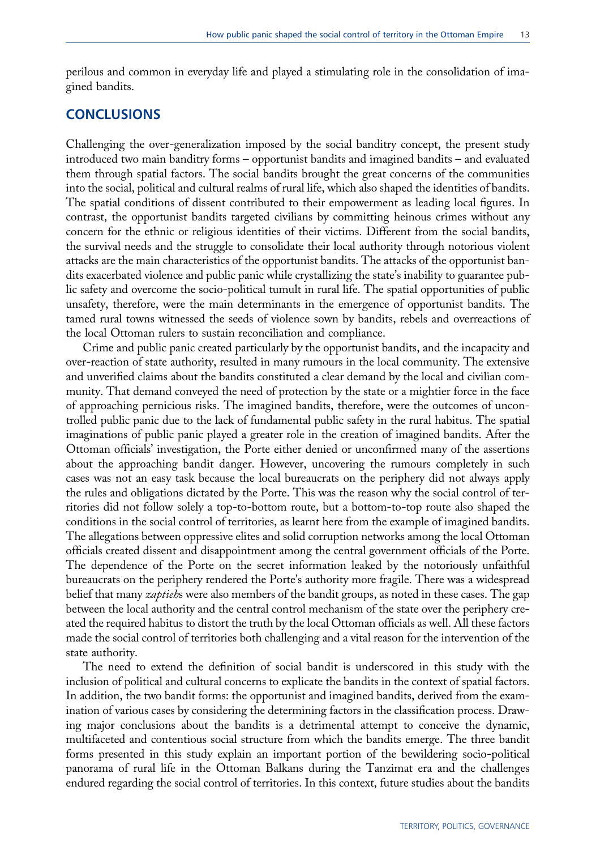perilous and common in everyday life and played a stimulating role in the consolidation of imagined bandits.

#### **CONCLUSIONS**

Challenging the over-generalization imposed by the social banditry concept, the present study introduced two main banditry forms – opportunist bandits and imagined bandits – and evaluated them through spatial factors. The social bandits brought the great concerns of the communities into the social, political and cultural realms of rural life, which also shaped the identities of bandits. The spatial conditions of dissent contributed to their empowerment as leading local figures. In contrast, the opportunist bandits targeted civilians by committing heinous crimes without any concern for the ethnic or religious identities of their victims. Different from the social bandits, the survival needs and the struggle to consolidate their local authority through notorious violent attacks are the main characteristics of the opportunist bandits. The attacks of the opportunist bandits exacerbated violence and public panic while crystallizing the state's inability to guarantee public safety and overcome the socio-political tumult in rural life. The spatial opportunities of public unsafety, therefore, were the main determinants in the emergence of opportunist bandits. The tamed rural towns witnessed the seeds of violence sown by bandits, rebels and overreactions of the local Ottoman rulers to sustain reconciliation and compliance.

Crime and public panic created particularly by the opportunist bandits, and the incapacity and over-reaction of state authority, resulted in many rumours in the local community. The extensive and unverified claims about the bandits constituted a clear demand by the local and civilian community. That demand conveyed the need of protection by the state or a mightier force in the face of approaching pernicious risks. The imagined bandits, therefore, were the outcomes of uncontrolled public panic due to the lack of fundamental public safety in the rural habitus. The spatial imaginations of public panic played a greater role in the creation of imagined bandits. After the Ottoman officials' investigation, the Porte either denied or unconfirmed many of the assertions about the approaching bandit danger. However, uncovering the rumours completely in such cases was not an easy task because the local bureaucrats on the periphery did not always apply the rules and obligations dictated by the Porte. This was the reason why the social control of territories did not follow solely a top-to-bottom route, but a bottom-to-top route also shaped the conditions in the social control of territories, as learnt here from the example of imagined bandits. The allegations between oppressive elites and solid corruption networks among the local Ottoman officials created dissent and disappointment among the central government officials of the Porte. The dependence of the Porte on the secret information leaked by the notoriously unfaithful bureaucrats on the periphery rendered the Porte's authority more fragile. There was a widespread belief that many *zaptiehs* were also members of the bandit groups, as noted in these cases. The gap between the local authority and the central control mechanism of the state over the periphery created the required habitus to distort the truth by the local Ottoman officials as well. All these factors made the social control of territories both challenging and a vital reason for the intervention of the state authority.

The need to extend the definition of social bandit is underscored in this study with the inclusion of political and cultural concerns to explicate the bandits in the context of spatial factors. In addition, the two bandit forms: the opportunist and imagined bandits, derived from the examination of various cases by considering the determining factors in the classification process. Drawing major conclusions about the bandits is a detrimental attempt to conceive the dynamic, multifaceted and contentious social structure from which the bandits emerge. The three bandit forms presented in this study explain an important portion of the bewildering socio-political panorama of rural life in the Ottoman Balkans during the Tanzimat era and the challenges endured regarding the social control of territories. In this context, future studies about the bandits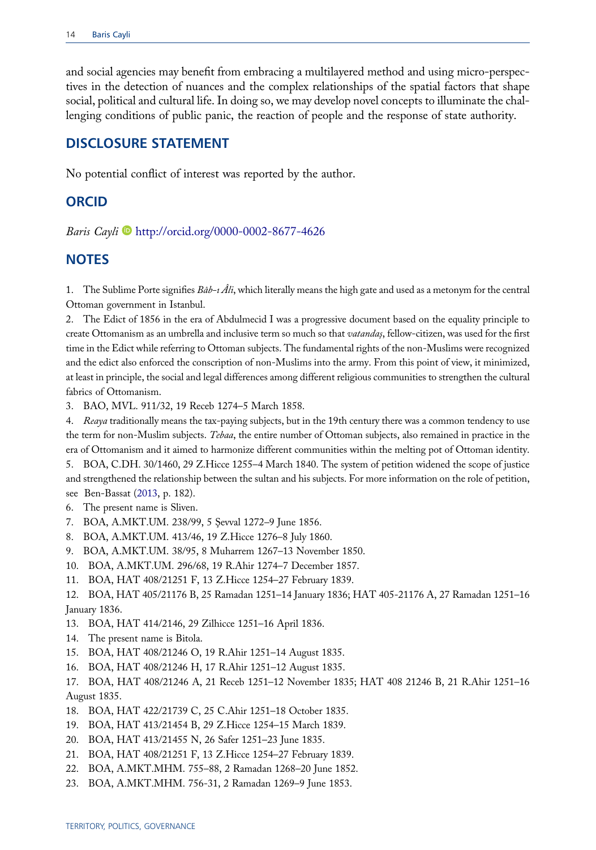<span id="page-14-0"></span>and social agencies may benefit from embracing a multilayered method and using micro-perspectives in the detection of nuances and the complex relationships of the spatial factors that shape social, political and cultural life. In doing so, we may develop novel concepts to illuminate the challenging conditions of public panic, the reaction of people and the response of state authority.

#### DISCLOSURE STATEMENT

No potential conflict of interest was reported by the author.

#### **ORCID**

Baris Cayli D <http://orcid.org/0000-0002-8677-4626>

#### **NOTES**

1. The Sublime Porte signifies  $B\hat{a}b$ -i  $\hat{A}li$ , which literally means the high gate and used as a metonym for the central Ottoman government in Istanbul.

2. The Edict of 1856 in the era of Abdulmecid I was a progressive document based on the equality principle to create Ottomanism as an umbrella and inclusive term so much so that vatandas, fellow-citizen, was used for the first time in the Edict while referring to Ottoman subjects. The fundamental rights of the non-Muslims were recognized and the edict also enforced the conscription of non-Muslims into the army. From this point of view, it minimized, at least in principle, the social and legal differences among different religious communities to strengthen the cultural fabrics of Ottomanism.

3. BAO, MVL. 911/32, 19 Receb 1274–5 March 1858.

4. Reaya traditionally means the tax-paying subjects, but in the 19th century there was a common tendency to use the term for non-Muslim subjects. Tebaa, the entire number of Ottoman subjects, also remained in practice in the era of Ottomanism and it aimed to harmonize different communities within the melting pot of Ottoman identity.

5. BOA, C.DH. 30/1460, 29 Z.Hicce 1255–4 March 1840. The system of petition widened the scope of justice and strengthened the relationship between the sultan and his subjects. For more information on the role of petition, see Ben-Bassat [\(2013](#page-15-0), p. 182).

- 6. The present name is Sliven.
- 7. BOA, A.MKT.UM. 238/99, 5 Şevval 1272–9 June 1856.
- 8. BOA, A.MKT.UM. 413/46, 19 Z.Hicce 1276–8 July 1860.
- 9. BOA, A.MKT.UM. 38/95, 8 Muharrem 1267–13 November 1850.
- 10. BOA, A.MKT.UM. 296/68, 19 R.Ahir 1274–7 December 1857.
- 11. BOA, HAT 408/21251 F, 13 Z.Hicce 1254–27 February 1839.
- 12. BOA, HAT 405/21176 B, 25 Ramadan 1251–14 January 1836; HAT 405-21176 A, 27 Ramadan 1251–16 January 1836.
- 13. BOA, HAT 414/2146, 29 Zilhicce 1251–16 April 1836.
- 14. The present name is Bitola.
- 15. BOA, HAT 408/21246 O, 19 R.Ahir 1251–14 August 1835.
- 16. BOA, HAT 408/21246 H, 17 R.Ahir 1251–12 August 1835.
- 17. BOA, HAT 408/21246 A, 21 Receb 1251–12 November 1835; HAT 408 21246 B, 21 R.Ahir 1251–16 August 1835.
- 18. BOA, HAT 422/21739 C, 25 C.Ahir 1251–18 October 1835.
- 19. BOA, HAT 413/21454 B, 29 Z.Hicce 1254–15 March 1839.
- 20. BOA, HAT 413/21455 N, 26 Safer 1251–23 June 1835.
- 21. BOA, HAT 408/21251 F, 13 Z.Hicce 1254–27 February 1839.
- 22. BOA, A.MKT.MHM. 755–88, 2 Ramadan 1268–20 June 1852.
- 23. BOA, A.MKT.MHM. 756-31, 2 Ramadan 1269–9 June 1853.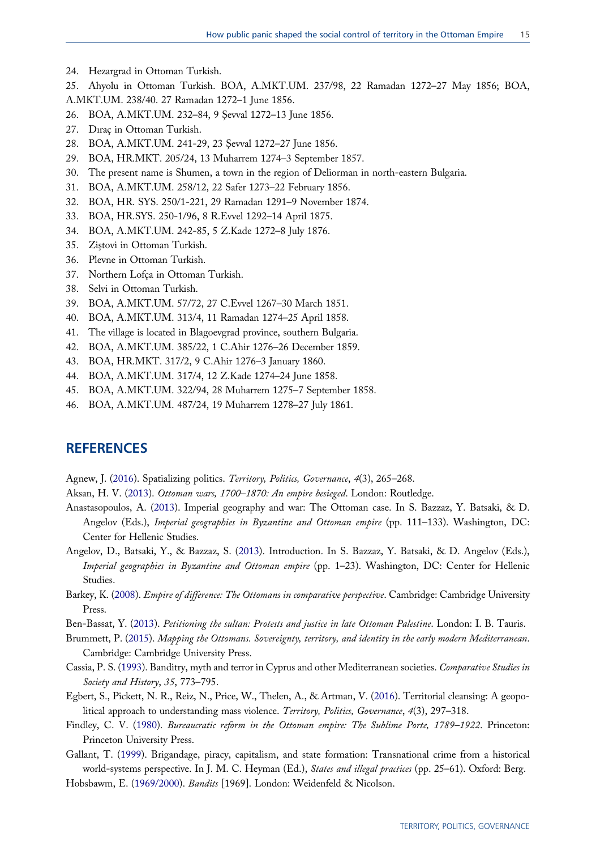<span id="page-15-0"></span>24. Hezargrad in Ottoman Turkish.

25. Ahyolu in Ottoman Turkish. BOA, A.MKT.UM. 237/98, 22 Ramadan 1272–27 May 1856; BOA, A.MKT.UM. 238/40. 27 Ramadan 1272–1 June 1856.

- 26. BOA, A.MKT.UM. 232–84, 9 Şevval 1272–13 June 1856.
- 27. Dıraç in Ottoman Turkish.
- 28. BOA, A.MKT.UM. 241-29, 23 Şevval 1272–27 June 1856.
- 29. BOA, HR.MKT. 205/24, 13 Muharrem 1274–3 September 1857.
- 30. The present name is Shumen, a town in the region of Deliorman in north-eastern Bulgaria.
- 31. BOA, A.MKT.UM. 258/12, 22 Safer 1273–22 February 1856.
- 32. BOA, HR. SYS. 250/1-221, 29 Ramadan 1291–9 November 1874.
- 33. BOA, HR.SYS. 250-1/96, 8 R.Evvel 1292–14 April 1875.
- 34. BOA, A.MKT.UM. 242-85, 5 Z.Kade 1272–8 July 1876.
- 35. Ziştovi in Ottoman Turkish.
- 36. Plevne in Ottoman Turkish.
- 37. Northern Lofça in Ottoman Turkish.
- 38. Selvi in Ottoman Turkish.
- 39. BOA, A.MKT.UM. 57/72, 27 C.Evvel 1267–30 March 1851.
- 40. BOA, A.MKT.UM. 313/4, 11 Ramadan 1274–25 April 1858.
- 41. The village is located in Blagoevgrad province, southern Bulgaria.
- 42. BOA, A.MKT.UM. 385/22, 1 C.Ahir 1276–26 December 1859.
- 43. BOA, HR.MKT. 317/2, 9 C.Ahir 1276–3 January 1860.
- 44. BOA, A.MKT.UM. 317/4, 12 Z.Kade 1274–24 June 1858.
- 45. BOA, A.MKT.UM. 322/94, 28 Muharrem 1275–7 September 1858.
- 46. BOA, A.MKT.UM. 487/24, 19 Muharrem 1278–27 July 1861.

#### **REFERENCES**

- Agnew, J. ([2016\)](#page-3-0). Spatializing politics. Territory, Politics, Governance, 4(3), 265-268.
- Aksan, H. V. ([2013\)](#page-3-0). Ottoman wars, 1700–1870: An empire besieged. London: Routledge.
- Anastasopoulos, A. ([2013](#page-3-0)). Imperial geography and war: The Ottoman case. In S. Bazzaz, Y. Batsaki, & D. Angelov (Eds.), Imperial geographies in Byzantine and Ottoman empire (pp. 111–133). Washington, DC: Center for Hellenic Studies.
- Angelov, D., Batsaki, Y., & Bazzaz, S. ([2013\)](#page-12-0). Introduction. In S. Bazzaz, Y. Batsaki, & D. Angelov (Eds.), Imperial geographies in Byzantine and Ottoman empire (pp. 1–23). Washington, DC: Center for Hellenic Studies.
- Barkey, K. ([2008\)](#page-12-0). Empire of difference: The Ottomans in comparative perspective. Cambridge: Cambridge University Press.
- Ben-Bassat, Y. ([2013\)](#page-14-0). Petitioning the sultan: Protests and justice in late Ottoman Palestine. London: I. B. Tauris.
- Brummett, P. [\(2015](#page-3-0)). Mapping the Ottomans. Sovereignty, territory, and identity in the early modern Mediterranean. Cambridge: Cambridge University Press.
- Cassia, P. S. [\(1993](#page-1-0)). Banditry, myth and terror in Cyprus and other Mediterranean societies. Comparative Studies in Society and History, 35, 773–795.
- Egbert, S., Pickett, N. R., Reiz, N., Price, W., Thelen, A., & Artman, V. ([2016\)](#page-12-0). Territorial cleansing: A geopolitical approach to understanding mass violence. Territory, Politics, Governance, 4(3), 297–318.
- Findley, C. V. ([1980\)](#page-3-0). Bureaucratic reform in the Ottoman empire: The Sublime Porte, 1789-1922. Princeton: Princeton University Press.
- Gallant, T. ([1999\)](#page-1-0). Brigandage, piracy, capitalism, and state formation: Transnational crime from a historical world-systems perspective. In J. M. C. Heyman (Ed.), States and illegal practices (pp. 25-61). Oxford: Berg.
- Hobsbawm, E. ([1969/2000](#page-5-0)). Bandits [1969]. London: Weidenfeld & Nicolson.